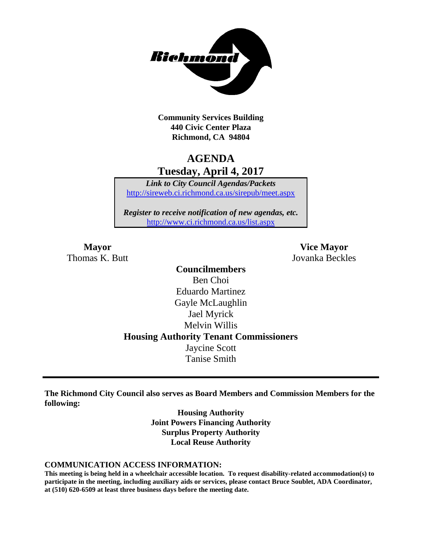

**Community Services Building 440 Civic Center Plaza Richmond, CA 94804**

# **AGENDA Tuesday, April 4, 2017**

*Link to City Council Agendas/Packets* <http://sireweb.ci.richmond.ca.us/sirepub/meet.aspx>

*Register to receive notification of new agendas, etc.* <http://www.ci.richmond.ca.us/list.aspx>

**Mayor Vice Mayor** Thomas K. Butt Jovanka Beckles

> **Councilmembers** Ben Choi Eduardo Martinez Gayle McLaughlin Jael Myrick Melvin Willis **Housing Authority Tenant Commissioners** Jaycine Scott Tanise Smith

**The Richmond City Council also serves as Board Members and Commission Members for the following:**

> **Housing Authority Joint Powers Financing Authority Surplus Property Authority Local Reuse Authority**

#### **COMMUNICATION ACCESS INFORMATION:**

**This meeting is being held in a wheelchair accessible location. To request disability-related accommodation(s) to participate in the meeting, including auxiliary aids or services, please contact Bruce Soublet, ADA Coordinator, at (510) 620-6509 at least three business days before the meeting date.**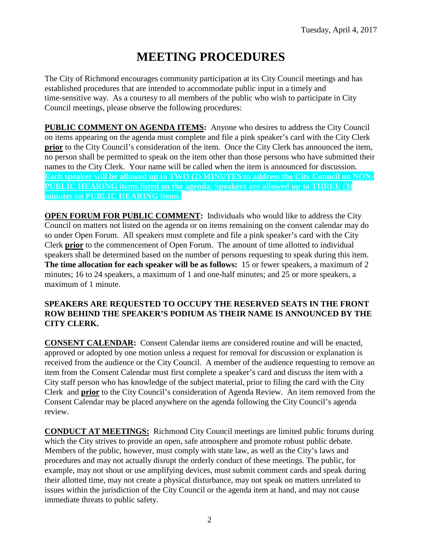# **MEETING PROCEDURES**

The City of Richmond encourages community participation at its City Council meetings and has established procedures that are intended to accommodate public input in a timely and time-sensitive way. As a courtesy to all members of the public who wish to participate in City Council meetings, please observe the following procedures:

**PUBLIC COMMENT ON AGENDA ITEMS:** Anyone who desires to address the City Council on items appearing on the agenda must complete and file a pink speaker's card with the City Clerk **prior** to the City Council's consideration of the item. Once the City Clerk has announced the item, no person shall be permitted to speak on the item other than those persons who have submitted their names to the City Clerk. Your name will be called when the item is announced for discussion. **Each speaker will be allowed up to TWO (2) MINUTES to address the City Council on NON-PUBLIC HEARING items listed on the agenda. Speakers are allowed up to THREE (3) minutes on PUBLIC HEARING items.**

**OPEN FORUM FOR PUBLIC COMMENT:** Individuals who would like to address the City Council on matters not listed on the agenda or on items remaining on the consent calendar may do so under Open Forum. All speakers must complete and file a pink speaker's card with the City Clerk **prior** to the commencement of Open Forum. The amount of time allotted to individual speakers shall be determined based on the number of persons requesting to speak during this item. **The time allocation for each speaker will be as follows:** 15 or fewer speakers, a maximum of 2 minutes; 16 to 24 speakers, a maximum of 1 and one-half minutes; and 25 or more speakers, a maximum of 1 minute.

#### **SPEAKERS ARE REQUESTED TO OCCUPY THE RESERVED SEATS IN THE FRONT ROW BEHIND THE SPEAKER'S PODIUM AS THEIR NAME IS ANNOUNCED BY THE CITY CLERK.**

**CONSENT CALENDAR:** Consent Calendar items are considered routine and will be enacted, approved or adopted by one motion unless a request for removal for discussion or explanation is received from the audience or the City Council. A member of the audience requesting to remove an item from the Consent Calendar must first complete a speaker's card and discuss the item with a City staff person who has knowledge of the subject material, prior to filing the card with the City Clerk and **prior** to the City Council's consideration of Agenda Review. An item removed from the Consent Calendar may be placed anywhere on the agenda following the City Council's agenda review.

**CONDUCT AT MEETINGS:** Richmond City Council meetings are limited public forums during which the City strives to provide an open, safe atmosphere and promote robust public debate. Members of the public, however, must comply with state law, as well as the City's laws and procedures and may not actually disrupt the orderly conduct of these meetings. The public, for example, may not shout or use amplifying devices, must submit comment cards and speak during their allotted time, may not create a physical disturbance, may not speak on matters unrelated to issues within the jurisdiction of the City Council or the agenda item at hand, and may not cause immediate threats to public safety.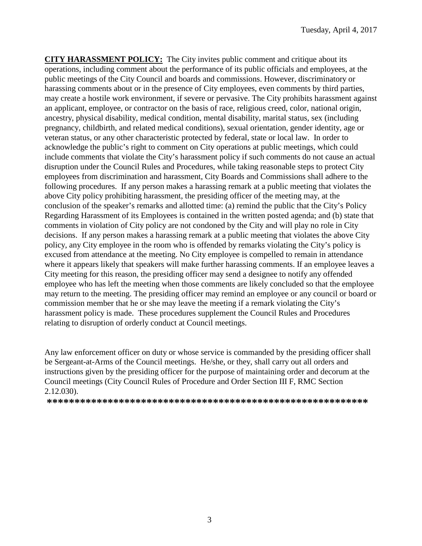**CITY HARASSMENT POLICY:** The City invites public comment and critique about its operations, including comment about the performance of its public officials and employees, at the public meetings of the City Council and boards and commissions. However, discriminatory or harassing comments about or in the presence of City employees, even comments by third parties, may create a hostile work environment, if severe or pervasive. The City prohibits harassment against an applicant, employee, or contractor on the basis of race, religious creed, color, national origin, ancestry, physical disability, medical condition, mental disability, marital status, sex (including pregnancy, childbirth, and related medical conditions), sexual orientation, gender identity, age or veteran status, or any other characteristic protected by federal, state or local law. In order to acknowledge the public's right to comment on City operations at public meetings, which could include comments that violate the City's harassment policy if such comments do not cause an actual disruption under the Council Rules and Procedures, while taking reasonable steps to protect City employees from discrimination and harassment, City Boards and Commissions shall adhere to the following procedures. If any person makes a harassing remark at a public meeting that violates the above City policy prohibiting harassment, the presiding officer of the meeting may, at the conclusion of the speaker's remarks and allotted time: (a) remind the public that the City's Policy Regarding Harassment of its Employees is contained in the written posted agenda; and (b) state that comments in violation of City policy are not condoned by the City and will play no role in City decisions. If any person makes a harassing remark at a public meeting that violates the above City policy, any City employee in the room who is offended by remarks violating the City's policy is excused from attendance at the meeting. No City employee is compelled to remain in attendance where it appears likely that speakers will make further harassing comments. If an employee leaves a City meeting for this reason, the presiding officer may send a designee to notify any offended employee who has left the meeting when those comments are likely concluded so that the employee may return to the meeting. The presiding officer may remind an employee or any council or board or commission member that he or she may leave the meeting if a remark violating the City's harassment policy is made. These procedures supplement the Council Rules and Procedures relating to disruption of orderly conduct at Council meetings.

Any law enforcement officer on duty or whose service is commanded by the presiding officer shall be Sergeant-at-Arms of the Council meetings. He/she, or they, shall carry out all orders and instructions given by the presiding officer for the purpose of maintaining order and decorum at the Council meetings (City Council Rules of Procedure and Order Section III F, RMC Section 2.12.030).

**\*\*\*\*\*\*\*\*\*\*\*\*\*\*\*\*\*\*\*\*\*\*\*\*\*\*\*\*\*\*\*\*\*\*\*\*\*\*\*\*\*\*\*\*\*\*\*\*\*\*\*\*\*\*\*\*\*\***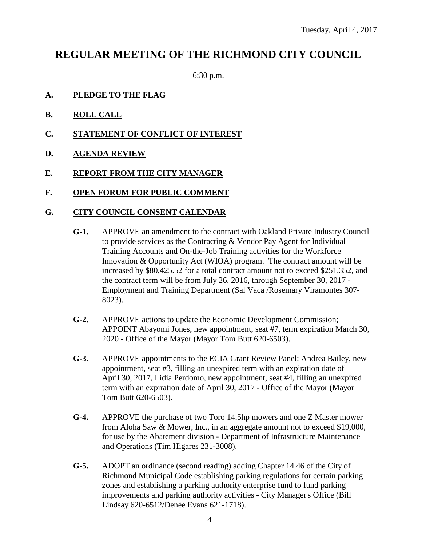# **REGULAR MEETING OF THE RICHMOND CITY COUNCIL**

6:30 p.m.

- **A. PLEDGE TO THE FLAG**
- **B. ROLL CALL**
- **C. STATEMENT OF CONFLICT OF INTEREST**
- **D. AGENDA REVIEW**
- **E. REPORT FROM THE CITY MANAGER**
- **F. OPEN FORUM FOR PUBLIC COMMENT**

#### **G. CITY COUNCIL CONSENT CALENDAR**

- **G-1.** APPROVE an amendment to the contract with Oakland Private Industry Council to provide services as the Contracting & Vendor Pay Agent for Individual Training Accounts and On-the-Job Training activities for the Workforce Innovation & Opportunity Act (WIOA) program. The contract amount will be increased by \$80,425.52 for a total contract amount not to exceed \$251,352, and the contract term will be from July 26, 2016, through September 30, 2017 - Employment and Training Department (Sal Vaca /Rosemary Viramontes 307- 8023).
- **G-2.** APPROVE actions to update the Economic Development Commission; APPOINT Abayomi Jones, new appointment, seat #7, term expiration March 30, 2020 - Office of the Mayor (Mayor Tom Butt 620-6503).
- **G-3.** APPROVE appointments to the ECIA Grant Review Panel: Andrea Bailey, new appointment, seat #3, filling an unexpired term with an expiration date of April 30, 2017, Lidia Perdomo, new appointment, seat #4, filling an unexpired term with an expiration date of April 30, 2017 - Office of the Mayor (Mayor Tom Butt 620-6503).
- **G-4.** APPROVE the purchase of two Toro 14.5hp mowers and one Z Master mower from Aloha Saw & Mower, Inc., in an aggregate amount not to exceed \$19,000, for use by the Abatement division - Department of Infrastructure Maintenance and Operations (Tim Higares 231-3008).
- **G-5.** ADOPT an ordinance (second reading) adding Chapter 14.46 of the City of Richmond Municipal Code establishing parking regulations for certain parking zones and establishing a parking authority enterprise fund to fund parking improvements and parking authority activities - City Manager's Office (Bill Lindsay 620-6512/Denée Evans 621-1718).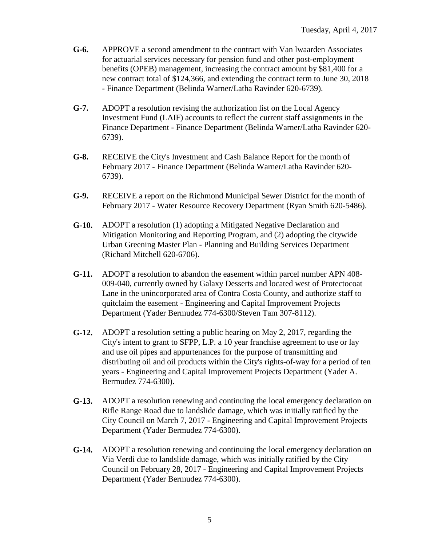- **G-6.** APPROVE a second amendment to the contract with Van lwaarden Associates for actuarial services necessary for pension fund and other post-employment benefits (OPEB) management, increasing the contract amount by \$81,400 for a new contract total of \$124,366, and extending the contract term to June 30, 2018 - Finance Department (Belinda Warner/Latha Ravinder 620-6739).
- **G-7.** ADOPT a resolution revising the authorization list on the Local Agency Investment Fund (LAIF) accounts to reflect the current staff assignments in the Finance Department - Finance Department (Belinda Warner/Latha Ravinder 620- 6739).
- **G-8.** RECEIVE the City's Investment and Cash Balance Report for the month of February 2017 - Finance Department (Belinda Warner/Latha Ravinder 620- 6739).
- **G-9.** RECEIVE a report on the Richmond Municipal Sewer District for the month of February 2017 - Water Resource Recovery Department (Ryan Smith 620-5486).
- **G-10.** ADOPT a resolution (1) adopting a Mitigated Negative Declaration and Mitigation Monitoring and Reporting Program, and (2) adopting the citywide Urban Greening Master Plan - Planning and Building Services Department (Richard Mitchell 620-6706).
- **G-11.** ADOPT a resolution to abandon the easement within parcel number APN 408- 009-040, currently owned by Galaxy Desserts and located west of Protectocoat Lane in the unincorporated area of Contra Costa County, and authorize staff to quitclaim the easement - Engineering and Capital Improvement Projects Department (Yader Bermudez 774-6300/Steven Tam 307-8112).
- **G-12.** ADOPT a resolution setting a public hearing on May 2, 2017, regarding the City's intent to grant to SFPP, L.P. a 10 year franchise agreement to use or lay and use oil pipes and appurtenances for the purpose of transmitting and distributing oil and oil products within the City's rights-of-way for a period of ten years - Engineering and Capital Improvement Projects Department (Yader A. Bermudez 774-6300).
- **G-13.** ADOPT a resolution renewing and continuing the local emergency declaration on Rifle Range Road due to landslide damage, which was initially ratified by the City Council on March 7, 2017 - Engineering and Capital Improvement Projects Department (Yader Bermudez 774-6300).
- **G-14.** ADOPT a resolution renewing and continuing the local emergency declaration on Via Verdi due to landslide damage, which was initially ratified by the City Council on February 28, 2017 - Engineering and Capital Improvement Projects Department (Yader Bermudez 774-6300).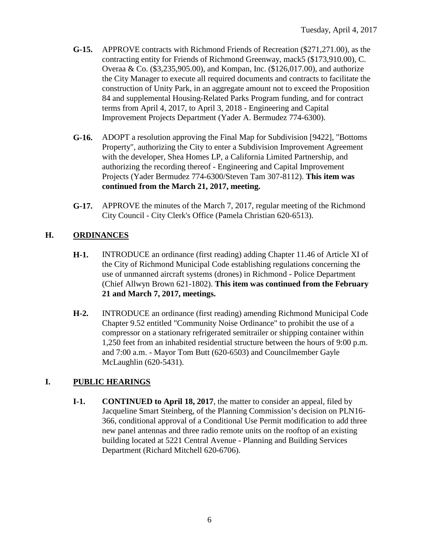- **G-15.** APPROVE contracts with Richmond Friends of Recreation (\$271,271.00), as the contracting entity for Friends of Richmond Greenway, mack5 (\$173,910.00), C. Overaa & Co. (\$3,235,905.00), and Kompan, Inc. (\$126,017.00), and authorize the City Manager to execute all required documents and contracts to facilitate the construction of Unity Park, in an aggregate amount not to exceed the Proposition 84 and supplemental Housing-Related Parks Program funding, and for contract terms from April 4, 2017, to April 3, 2018 - Engineering and Capital Improvement Projects Department (Yader A. Bermudez 774-6300).
- **G-16.** ADOPT a resolution approving the Final Map for Subdivision [9422], "Bottoms Property", authorizing the City to enter a Subdivision Improvement Agreement with the developer, Shea Homes LP, a California Limited Partnership, and authorizing the recording thereof - Engineering and Capital Improvement Projects (Yader Bermudez 774-6300/Steven Tam 307-8112). **This item was continued from the March 21, 2017, meeting.**
- **G-17.** APPROVE the minutes of the March 7, 2017, regular meeting of the Richmond City Council - City Clerk's Office (Pamela Christian 620-6513).

# **H. ORDINANCES**

- **H-1.** INTRODUCE an ordinance (first reading) adding Chapter 11.46 of Article XI of the City of Richmond Municipal Code establishing regulations concerning the use of unmanned aircraft systems (drones) in Richmond - Police Department (Chief Allwyn Brown 621-1802). **This item was continued from the February 21 and March 7, 2017, meetings.**
- **H-2.** INTRODUCE an ordinance (first reading) amending Richmond Municipal Code Chapter 9.52 entitled "Community Noise Ordinance" to prohibit the use of a compressor on a stationary refrigerated semitrailer or shipping container within 1,250 feet from an inhabited residential structure between the hours of 9:00 p.m. and 7:00 a.m. - Mayor Tom Butt (620-6503) and Councilmember Gayle McLaughlin (620-5431).

# **I. PUBLIC HEARINGS**

**I-1. CONTINUED to April 18, 2017**, the matter to consider an appeal, filed by Jacqueline Smart Steinberg, of the Planning Commission's decision on PLN16- 366, conditional approval of a Conditional Use Permit modification to add three new panel antennas and three radio remote units on the rooftop of an existing building located at 5221 Central Avenue - Planning and Building Services Department (Richard Mitchell 620-6706).